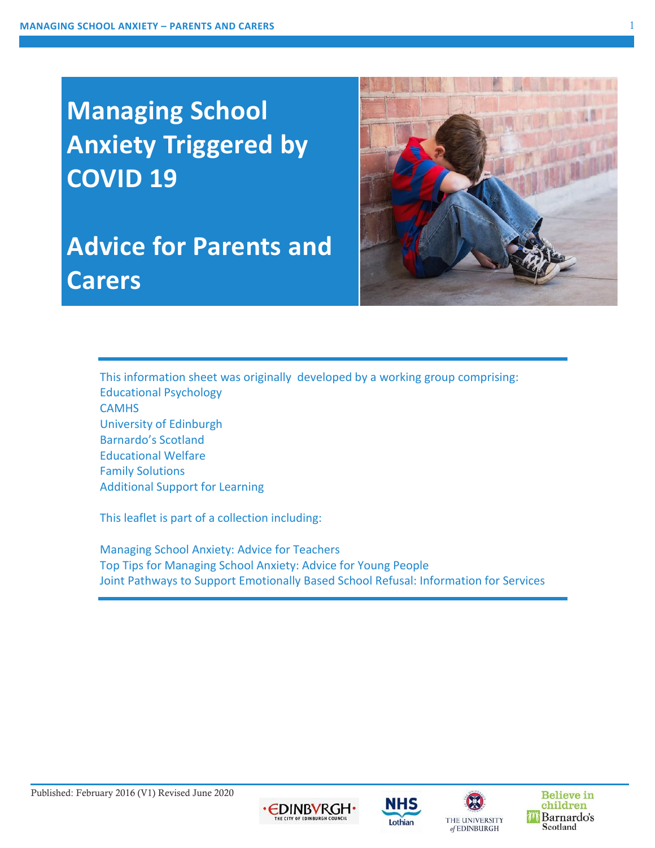# **Managing School Anxiety Triggered by COVID 19**

# **Advice for Parents and Carers**



This information sheet was originally developed by a working group comprising: Educational Psychology **CAMHS** University of Edinburgh Barnardo's Scotland Educational Welfare Family Solutions Additional Support for Learning

This leaflet is part of a collection including:

Managing School Anxiety: Advice for Teachers Top Tips for Managing School Anxiety: Advice for Young People Joint Pathways to Support Emotionally Based School Refusal: Information for Services









**Believe in** children Barnardo's Scotland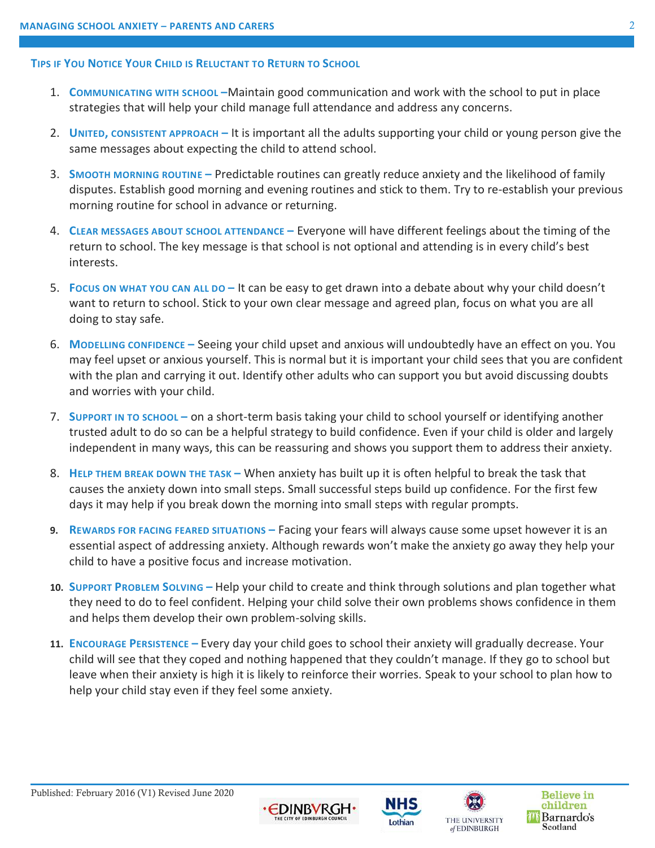#### **TIPS IF YOU NOTICE YOUR CHILD IS RELUCTANT TO RETURN TO SCHOOL**

- 1. **COMMUNICATING WITH SCHOOL –**Maintain good communication and work with the school to put in place strategies that will help your child manage full attendance and address any concerns.
- 2. **UNITED, CONSISTENT APPROACH –** It is important all the adults supporting your child or young person give the same messages about expecting the child to attend school.
- 3. **SMOOTH MORNING ROUTINE –** Predictable routines can greatly reduce anxiety and the likelihood of family disputes. Establish good morning and evening routines and stick to them. Try to re-establish your previous morning routine for school in advance or returning.
- 4. **CLEAR MESSAGES ABOUT SCHOOL ATTENDANCE –** Everyone will have different feelings about the timing of the return to school. The key message is that school is not optional and attending is in every child's best interests.
- 5. **FOCUS ON WHAT YOU CAN ALL DO –** It can be easy to get drawn into a debate about why your child doesn't want to return to school. Stick to your own clear message and agreed plan, focus on what you are all doing to stay safe.
- 6. **MODELLING CONFIDENCE –** Seeing your child upset and anxious will undoubtedly have an effect on you. You may feel upset or anxious yourself. This is normal but it is important your child sees that you are confident with the plan and carrying it out. Identify other adults who can support you but avoid discussing doubts and worries with your child.
- 7. **SUPPORT IN TO SCHOOL –** on a short-term basis taking your child to school yourself or identifying another trusted adult to do so can be a helpful strategy to build confidence. Even if your child is older and largely independent in many ways, this can be reassuring and shows you support them to address their anxiety.
- 8. **HELP THEM BREAK DOWN THE TASK –** When anxiety has built up it is often helpful to break the task that causes the anxiety down into small steps. Small successful steps build up confidence. For the first few days it may help if you break down the morning into small steps with regular prompts.
- **9. REWARDS FOR FACING FEARED SITUATIONS –** Facing your fears will always cause some upset however it is an essential aspect of addressing anxiety. Although rewards won't make the anxiety go away they help your child to have a positive focus and increase motivation.
- **10. SUPPORT PROBLEM SOLVING –** Help your child to create and think through solutions and plan together what they need to do to feel confident. Helping your child solve their own problems shows confidence in them and helps them develop their own problem-solving skills.
- **11. ENCOURAGE PERSISTENCE –** Every day your child goes to school their anxiety will gradually decrease. Your child will see that they coped and nothing happened that they couldn't manage. If they go to school but leave when their anxiety is high it is likely to reinforce their worries. Speak to your school to plan how to help your child stay even if they feel some anxiety.

EDINBVRGH.





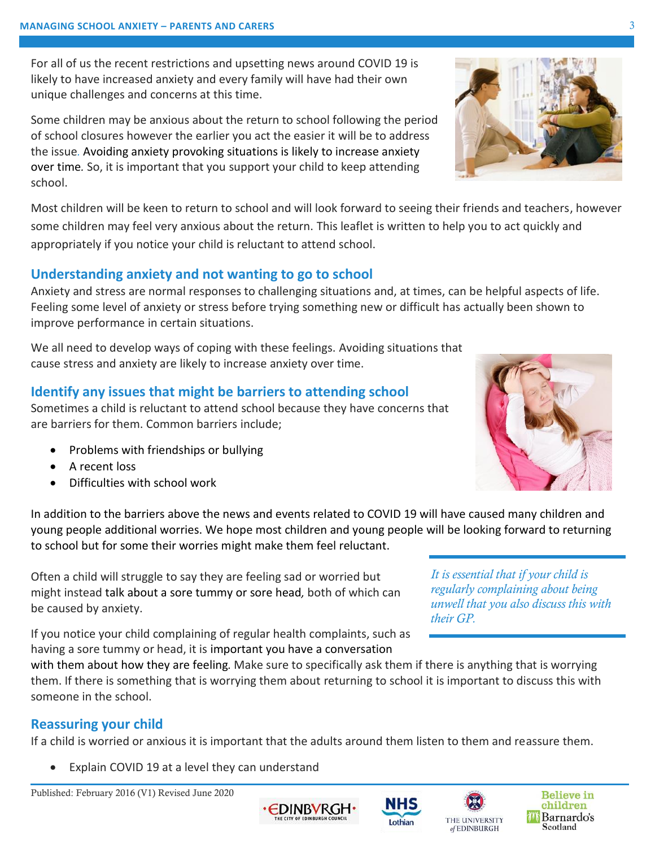For all of us the recent restrictions and upsetting news around COVID 19 is likely to have increased anxiety and every family will have had their own unique challenges and concerns at this time.

Some children may be anxious about the return to school following the period of school closures however the earlier you act the easier it will be to address the issue*.* Avoiding anxiety provoking situations is likely to increase anxiety over time*.* So, it is important that you support your child to keep attending school.

Most children will be keen to return to school and will look forward to seeing their friends and teachers, however some children may feel very anxious about the return. This leaflet is written to help you to act quickly and appropriately if you notice your child is reluctant to attend school.

## **Understanding anxiety and not wanting to go to school**

Anxiety and stress are normal responses to challenging situations and, at times, can be helpful aspects of life. Feeling some level of anxiety or stress before trying something new or difficult has actually been shown to improve performance in certain situations.

We all need to develop ways of coping with these feelings. Avoiding situations that cause stress and anxiety are likely to increase anxiety over time.

## **Identify any issues that might be barriers to attending school**

Sometimes a child is reluctant to attend school because they have concerns that are barriers for them. Common barriers include;

- Problems with friendships or bullying
- A recent loss
- Difficulties with school work

In addition to the barriers above the news and events related to COVID 19 will have caused many children and young people additional worries. We hope most children and young people will be looking forward to returning to school but for some their worries might make them feel reluctant.

Often a child will struggle to say they are feeling sad or worried but might instead talk about a sore tummy or sore head*,* both of which can be caused by anxiety.

If you notice your child complaining of regular health complaints, such as having a sore tummy or head, it is important you have a conversation

with them about how they are feeling*.* Make sure to specifically ask them if there is anything that is worrying them. If there is something that is worrying them about returning to school it is important to discuss this with someone in the school.

## **Reassuring your child**

If a child is worried or anxious it is important that the adults around them listen to them and reassure them.

EDINBVRGH•

Explain COVID 19 at a level they can understand

Published: February 2016 (V1) Revised June 2020







*It is essential that if your child is regularly complaining about being unwell that you also discuss this with their GP.* 





NHS Lothian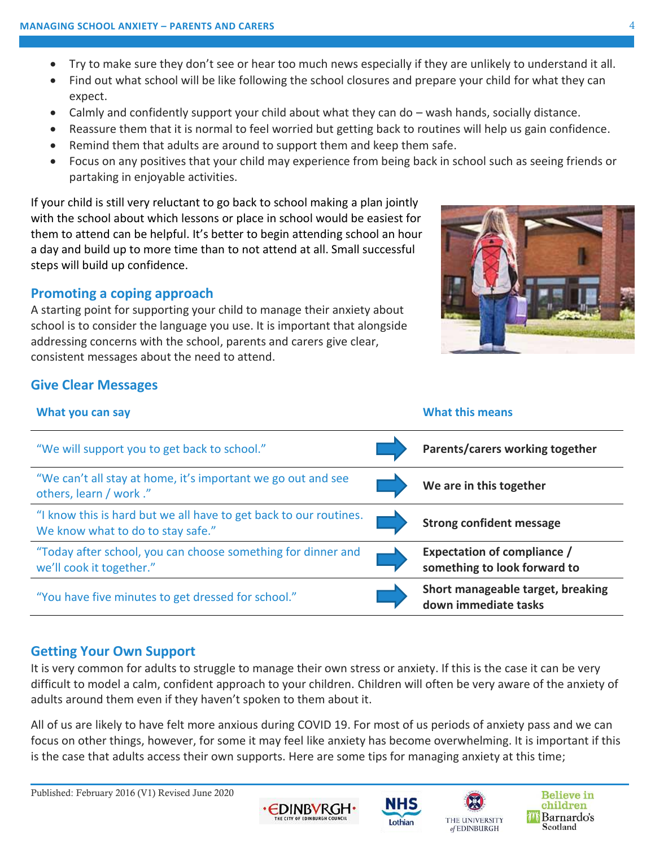- Try to make sure they don't see or hear too much news especially if they are unlikely to understand it all.
- Find out what school will be like following the school closures and prepare your child for what they can expect.
- Calmly and confidently support your child about what they can do wash hands, socially distance.
- Reassure them that it is normal to feel worried but getting back to routines will help us gain confidence.
- Remind them that adults are around to support them and keep them safe.
- Focus on any positives that your child may experience from being back in school such as seeing friends or partaking in enjoyable activities.

If your child is still very reluctant to go back to school making a plan jointly with the school about which lessons or place in school would be easiest for them to attend can be helpful. It's better to begin attending school an hour a day and build up to more time than to not attend at all. Small successful steps will build up confidence.

### **Promoting a coping approach**

A starting point for supporting your child to manage their anxiety about school is to consider the language you use. It is important that alongside addressing concerns with the school, parents and carers give clear, consistent messages about the need to attend.



### **Give Clear Messages**

| What you can say                                                                                       | <b>What this means</b>                                             |
|--------------------------------------------------------------------------------------------------------|--------------------------------------------------------------------|
| "We will support you to get back to school."                                                           | Parents/carers working together                                    |
| "We can't all stay at home, it's important we go out and see<br>others, learn / work ."                | We are in this together                                            |
| "I know this is hard but we all have to get back to our routines.<br>We know what to do to stay safe." | <b>Strong confident message</b>                                    |
| "Today after school, you can choose something for dinner and<br>we'll cook it together."               | <b>Expectation of compliance /</b><br>something to look forward to |
| "You have five minutes to get dressed for school."                                                     | Short manageable target, breaking<br>down immediate tasks          |

## **Getting Your Own Support**

It is very common for adults to struggle to manage their own stress or anxiety. If this is the case it can be very difficult to model a calm, confident approach to your children. Children will often be very aware of the anxiety of adults around them even if they haven't spoken to them about it.

All of us are likely to have felt more anxious during COVID 19. For most of us periods of anxiety pass and we can focus on other things, however, for some it may feel like anxiety has become overwhelming. It is important if this is the case that adults access their own supports. Here are some tips for managing anxiety at this time;

Published: February 2016 (V1) Revised June 2020





Lothian